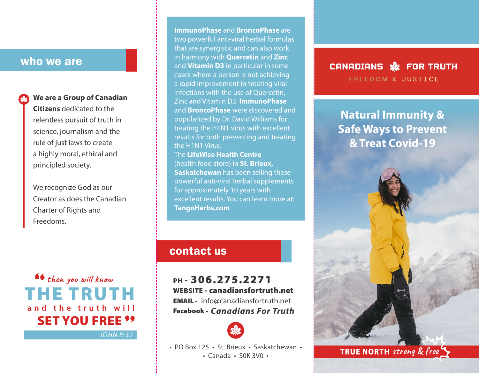## who we are

**We are a Group of Canadian Citizens** dedicated to the relentless pursuit of truth in science, journalism and the rule of just laws to create a highly moral, ethical and principled society.

We recognize God as our Creator as does the Canadian Charter of Rights and Freedoms.

**then you will know** THE TRUTH **and the truth will** SET YOU FREE **99** 

*JOHN 8:32*

**ImmunoPhase** and **BroncoPhase** are two powerful anti-viral herbal formulas that are synergistic and can also work in harmony with **Quercetin** and **Zinc** and **Vitamin D3** in particular in some cases where a person is not achieving a rapid improvement in treating viral infections with the use of Quercetin, Zinc and Vitamin D3. **ImmunoPhase** and **BroncoPhase** were discovered and popularized by Dr. David Williams for treating the H1N1 virus with excellent results for both preventing and treating the H1N1 Virus. The **LifeWise Health Centre** 

(health food store) in **St. Brieux, Saskatchewan** has been selling these powerful anti-viral herbal supplements for approximately 10 years with excellent results. You can learn more at: **TangoHerbs.com**

# contact us

PH - 306.275.2271 WEBSITE - canadiansfortruth.net EMAIL - info@canadiansfortruth.net *Canadians For Truth* Facebook -



• PO Box 125 • St. Brieux • Saskatchewan •

#### CANADIANS SE FOR TRUTH FREEDOM & JUSTICE

**Natural Immunity & Safe Ways to Prevent & Treat Covid-19**